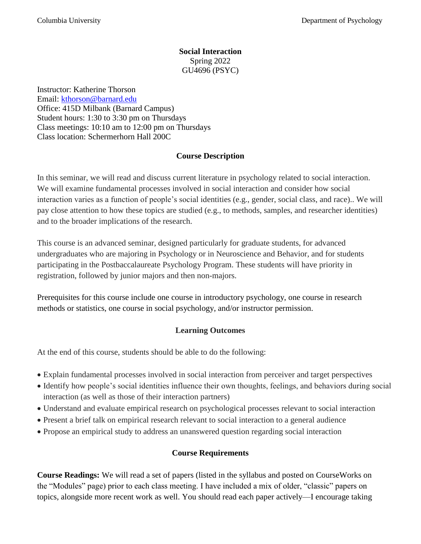## **Social Interaction** Spring 2022 GU4696 (PSYC)

Instructor: Katherine Thorson Email: [kthorson@barnard.edu](mailto:kthorson@barnard.edu)  Office: 415D Milbank (Barnard Campus) Student hours: 1:30 to 3:30 pm on Thursdays Class meetings: 10:10 am to 12:00 pm on Thursdays Class location: Schermerhorn Hall 200C

## **Course Description**

In this seminar, we will read and discuss current literature in psychology related to social interaction. We will examine fundamental processes involved in social interaction and consider how social interaction varies as a function of people's social identities (e.g., gender, social class, and race).. We will pay close attention to how these topics are studied (e.g., to methods, samples, and researcher identities) and to the broader implications of the research.

This course is an advanced seminar, designed particularly for graduate students, for advanced undergraduates who are majoring in Psychology or in Neuroscience and Behavior, and for students participating in the Postbaccalaureate Psychology Program. These students will have priority in registration, followed by junior majors and then non-majors.

Prerequisites for this course include one course in introductory psychology, one course in research methods or statistics, one course in social psychology, and/or instructor permission.

## **Learning Outcomes**

At the end of this course, students should be able to do the following:

- Explain fundamental processes involved in social interaction from perceiver and target perspectives
- Identify how people's social identities influence their own thoughts, feelings, and behaviors during social interaction (as well as those of their interaction partners)
- Understand and evaluate empirical research on psychological processes relevant to social interaction
- Present a brief talk on empirical research relevant to social interaction to a general audience
- Propose an empirical study to address an unanswered question regarding social interaction

# **Course Requirements**

**Course Readings:** We will read a set of papers (listed in the syllabus and posted on CourseWorks on the "Modules" page) prior to each class meeting. I have included a mix of older, "classic" papers on topics, alongside more recent work as well. You should read each paper actively—I encourage taking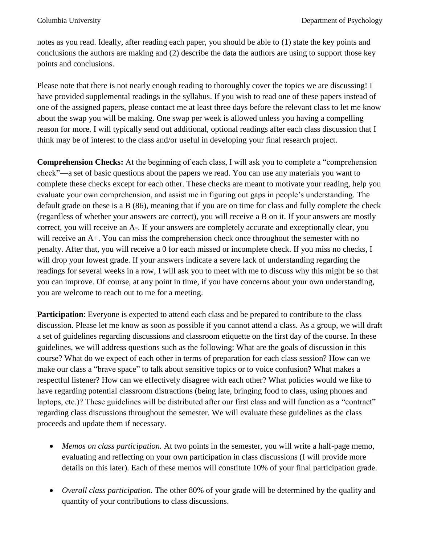notes as you read. Ideally, after reading each paper, you should be able to (1) state the key points and conclusions the authors are making and (2) describe the data the authors are using to support those key points and conclusions.

Please note that there is not nearly enough reading to thoroughly cover the topics we are discussing! I have provided supplemental readings in the syllabus. If you wish to read one of these papers instead of one of the assigned papers, please contact me at least three days before the relevant class to let me know about the swap you will be making. One swap per week is allowed unless you having a compelling reason for more. I will typically send out additional, optional readings after each class discussion that I think may be of interest to the class and/or useful in developing your final research project.

**Comprehension Checks:** At the beginning of each class, I will ask you to complete a "comprehension check"—a set of basic questions about the papers we read. You can use any materials you want to complete these checks except for each other. These checks are meant to motivate your reading, help you evaluate your own comprehension, and assist me in figuring out gaps in people's understanding. The default grade on these is a B (86), meaning that if you are on time for class and fully complete the check (regardless of whether your answers are correct), you will receive a B on it. If your answers are mostly correct, you will receive an A-. If your answers are completely accurate and exceptionally clear, you will receive an A+. You can miss the comprehension check once throughout the semester with no penalty. After that, you will receive a 0 for each missed or incomplete check. If you miss no checks, I will drop your lowest grade. If your answers indicate a severe lack of understanding regarding the readings for several weeks in a row, I will ask you to meet with me to discuss why this might be so that you can improve. Of course, at any point in time, if you have concerns about your own understanding, you are welcome to reach out to me for a meeting.

**Participation**: Everyone is expected to attend each class and be prepared to contribute to the class discussion. Please let me know as soon as possible if you cannot attend a class. As a group, we will draft a set of guidelines regarding discussions and classroom etiquette on the first day of the course. In these guidelines, we will address questions such as the following: What are the goals of discussion in this course? What do we expect of each other in terms of preparation for each class session? How can we make our class a "brave space" to talk about sensitive topics or to voice confusion? What makes a respectful listener? How can we effectively disagree with each other? What policies would we like to have regarding potential classroom distractions (being late, bringing food to class, using phones and laptops, etc.)? These guidelines will be distributed after our first class and will function as a "contract" regarding class discussions throughout the semester. We will evaluate these guidelines as the class proceeds and update them if necessary.

- *Memos on class participation.* At two points in the semester, you will write a half-page memo, evaluating and reflecting on your own participation in class discussions (I will provide more details on this later). Each of these memos will constitute 10% of your final participation grade.
- *Overall class participation.* The other 80% of your grade will be determined by the quality and quantity of your contributions to class discussions.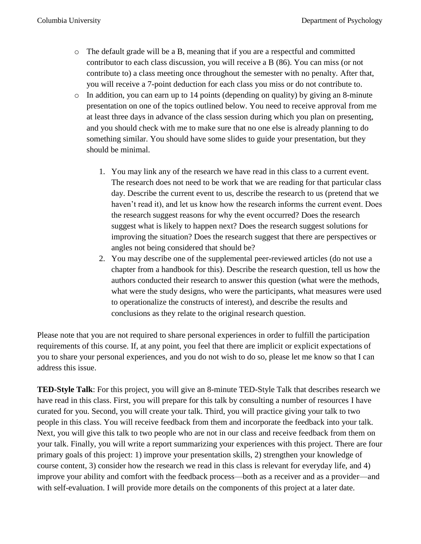- o The default grade will be a B, meaning that if you are a respectful and committed contributor to each class discussion, you will receive a B (86). You can miss (or not contribute to) a class meeting once throughout the semester with no penalty. After that, you will receive a 7-point deduction for each class you miss or do not contribute to.
- $\circ$  In addition, you can earn up to 14 points (depending on quality) by giving an 8-minute presentation on one of the topics outlined below. You need to receive approval from me at least three days in advance of the class session during which you plan on presenting, and you should check with me to make sure that no one else is already planning to do something similar. You should have some slides to guide your presentation, but they should be minimal.
	- 1. You may link any of the research we have read in this class to a current event. The research does not need to be work that we are reading for that particular class day. Describe the current event to us, describe the research to us (pretend that we haven't read it), and let us know how the research informs the current event. Does the research suggest reasons for why the event occurred? Does the research suggest what is likely to happen next? Does the research suggest solutions for improving the situation? Does the research suggest that there are perspectives or angles not being considered that should be?
	- 2. You may describe one of the supplemental peer-reviewed articles (do not use a chapter from a handbook for this). Describe the research question, tell us how the authors conducted their research to answer this question (what were the methods, what were the study designs, who were the participants, what measures were used to operationalize the constructs of interest), and describe the results and conclusions as they relate to the original research question.

Please note that you are not required to share personal experiences in order to fulfill the participation requirements of this course. If, at any point, you feel that there are implicit or explicit expectations of you to share your personal experiences, and you do not wish to do so, please let me know so that I can address this issue.

**TED-Style Talk**: For this project, you will give an 8-minute TED-Style Talk that describes research we have read in this class. First, you will prepare for this talk by consulting a number of resources I have curated for you. Second, you will create your talk. Third, you will practice giving your talk to two people in this class. You will receive feedback from them and incorporate the feedback into your talk. Next, you will give this talk to two people who are not in our class and receive feedback from them on your talk. Finally, you will write a report summarizing your experiences with this project. There are four primary goals of this project: 1) improve your presentation skills, 2) strengthen your knowledge of course content, 3) consider how the research we read in this class is relevant for everyday life, and 4) improve your ability and comfort with the feedback process—both as a receiver and as a provider—and with self-evaluation. I will provide more details on the components of this project at a later date.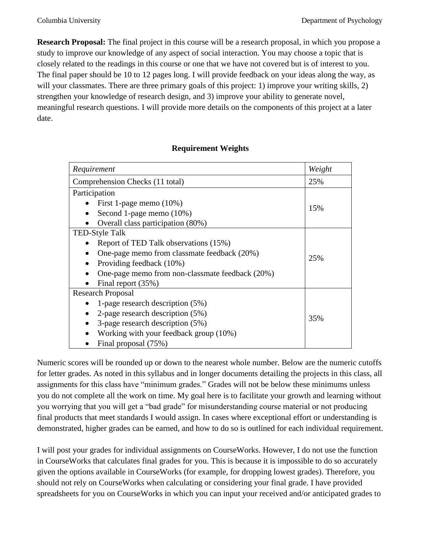**Research Proposal:** The final project in this course will be a research proposal, in which you propose a study to improve our knowledge of any aspect of social interaction. You may choose a topic that is closely related to the readings in this course or one that we have not covered but is of interest to you. The final paper should be 10 to 12 pages long. I will provide feedback on your ideas along the way, as will your classmates. There are three primary goals of this project: 1) improve your writing skills, 2) strengthen your knowledge of research design, and 3) improve your ability to generate novel, meaningful research questions. I will provide more details on the components of this project at a later date.

| Requirement                                     | Weight |  |
|-------------------------------------------------|--------|--|
| Comprehension Checks (11 total)                 | 25%    |  |
| Participation                                   |        |  |
| First 1-page memo $(10\%)$                      | 15%    |  |
| Second 1-page memo (10%)                        |        |  |
| Overall class participation (80%)               |        |  |
| <b>TED-Style Talk</b>                           |        |  |
| Report of TED Talk observations (15%)           | 25%    |  |
| One-page memo from classmate feedback (20%)     |        |  |
| Providing feedback (10%)                        |        |  |
| One-page memo from non-classmate feedback (20%) |        |  |
| Final report (35%)                              |        |  |
| <b>Research Proposal</b>                        |        |  |
| 1-page research description (5%)                |        |  |
| 2-page research description (5%)                | 35%    |  |
| 3-page research description (5%)                |        |  |
| Working with your feedback group (10%)          |        |  |
| Final proposal (75%)                            |        |  |

### **Requirement Weights**

Numeric scores will be rounded up or down to the nearest whole number. Below are the numeric cutoffs for letter grades. As noted in this syllabus and in longer documents detailing the projects in this class, all assignments for this class have "minimum grades." Grades will not be below these minimums unless you do not complete all the work on time. My goal here is to facilitate your growth and learning without you worrying that you will get a "bad grade" for misunderstanding course material or not producing final products that meet standards I would assign. In cases where exceptional effort or understanding is demonstrated, higher grades can be earned, and how to do so is outlined for each individual requirement.

I will post your grades for individual assignments on CourseWorks. However, I do not use the function in CourseWorks that calculates final grades for you. This is because it is impossible to do so accurately given the options available in CourseWorks (for example, for dropping lowest grades). Therefore, you should not rely on CourseWorks when calculating or considering your final grade. I have provided spreadsheets for you on CourseWorks in which you can input your received and/or anticipated grades to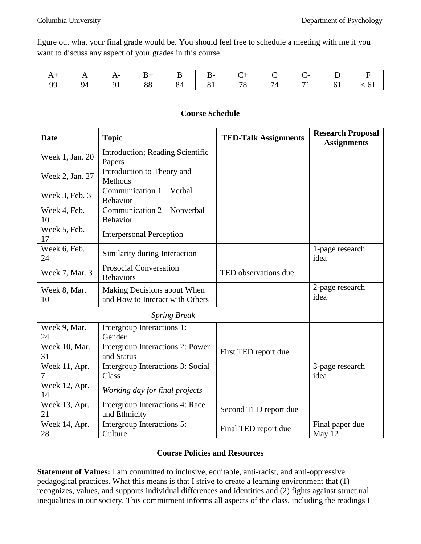figure out what your final grade would be. You should feel free to schedule a meeting with me if you want to discuss any aspect of your grades in this course.

|  |  |  | +   A   A -   B +   B   B -   C +   C   C -   D   F |  |  |
|--|--|--|-----------------------------------------------------|--|--|
|  |  |  |                                                     |  |  |

| <b>Date</b>         | <b>Topic</b>                                                   | <b>TED-Talk Assignments</b> | <b>Research Proposal</b><br><b>Assignments</b> |
|---------------------|----------------------------------------------------------------|-----------------------------|------------------------------------------------|
| Week 1, Jan. 20     | Introduction; Reading Scientific<br>Papers                     |                             |                                                |
| Week 2, Jan. 27     | Introduction to Theory and<br>Methods                          |                             |                                                |
| Week 3, Feb. 3      | Communication 1 - Verbal<br>Behavior                           |                             |                                                |
| Week 4, Feb.<br>10  | Communication 2 - Nonverbal<br><b>Behavior</b>                 |                             |                                                |
| Week 5, Feb.<br>17  | <b>Interpersonal Perception</b>                                |                             |                                                |
| Week 6, Feb.<br>24  | Similarity during Interaction                                  |                             | 1-page research<br>idea                        |
| Week 7, Mar. 3      | <b>Prosocial Conversation</b><br><b>Behaviors</b>              | TED observations due        |                                                |
| Week 8, Mar.<br>10  | Making Decisions about When<br>and How to Interact with Others |                             | 2-page research<br>idea                        |
|                     | <b>Spring Break</b>                                            |                             |                                                |
| Week 9, Mar.<br>24  | Intergroup Interactions 1:<br>Gender                           |                             |                                                |
| Week 10, Mar.<br>31 | Intergroup Interactions 2: Power<br>and Status                 | First TED report due        |                                                |
| Week 11, Apr.<br>7  | <b>Intergroup Interactions 3: Social</b><br>Class              |                             | 3-page research<br>idea                        |
| Week 12, Apr.<br>14 | Working day for final projects                                 |                             |                                                |
| Week 13, Apr.<br>21 | <b>Intergroup Interactions 4: Race</b><br>and Ethnicity        | Second TED report due       |                                                |
| Week 14, Apr.<br>28 | Intergroup Interactions 5:<br>Culture                          | Final TED report due        | Final paper due<br>May 12                      |

## **Course Schedule**

### **Course Policies and Resources**

**Statement of Values:** I am committed to inclusive, equitable, anti-racist, and anti-oppressive pedagogical practices. What this means is that I strive to create a learning environment that (1) recognizes, values, and supports individual differences and identities and (2) fights against structural inequalities in our society. This commitment informs all aspects of the class, including the readings I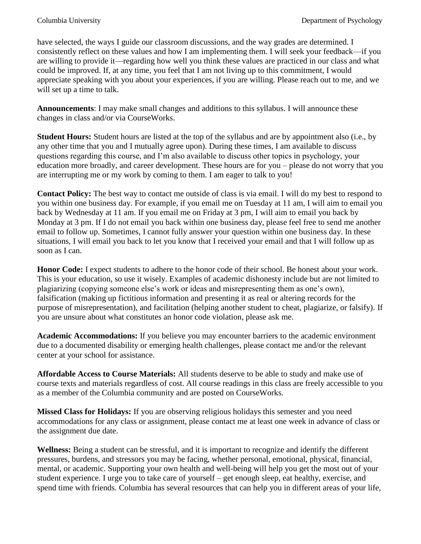have selected, the ways I guide our classroom discussions, and the way grades are determined. I consistently reflect on these values and how I am implementing them. I will seek your feedback—if you are willing to provide it—regarding how well you think these values are practiced in our class and what could be improved. If, at any time, you feel that I am not living up to this commitment, I would appreciate speaking with you about your experiences, if you are willing. Please reach out to me, and we will set up a time to talk.

**Announcements**: I may make small changes and additions to this syllabus. I will announce these changes in class and/or via CourseWorks.

**Student Hours:** Student hours are listed at the top of the syllabus and are by appointment also (i.e., by any other time that you and I mutually agree upon). During these times, I am available to discuss questions regarding this course, and I'm also available to discuss other topics in psychology, your education more broadly, and career development. These hours are for you – please do not worry that you are interrupting me or my work by coming to them. I am eager to talk to you!

**Contact Policy:** The best way to contact me outside of class is via email. I will do my best to respond to you within one business day. For example, if you email me on Tuesday at 11 am, I will aim to email you back by Wednesday at 11 am. If you email me on Friday at 3 pm, I will aim to email you back by Monday at 3 pm. If I do not email you back within one business day, please feel free to send me another email to follow up. Sometimes, I cannot fully answer your question within one business day. In these situations, I will email you back to let you know that I received your email and that I will follow up as soon as I can.

**Honor Code:** I expect students to adhere to the honor code of their school. Be honest about your work. This is your education, so use it wisely. Examples of academic dishonesty include but are not limited to plagiarizing (copying someone else's work or ideas and misrepresenting them as one's own), falsification (making up fictitious information and presenting it as real or altering records for the purpose of misrepresentation), and facilitation (helping another student to cheat, plagiarize, or falsify). If you are unsure about what constitutes an honor code violation, please ask me.

**Academic Accommodations:** If you believe you may encounter barriers to the academic environment due to a documented disability or emerging health challenges, please contact me and/or the relevant center at your school for assistance.

**Affordable Access to Course Materials:** All students deserve to be able to study and make use of course texts and materials regardless of cost. All course readings in this class are freely accessible to you as a member of the Columbia community and are posted on CourseWorks.

**Missed Class for Holidays:** If you are observing religious holidays this semester and you need accommodations for any class or assignment, please contact me at least one week in advance of class or the assignment due date.

**Wellness:** Being a student can be stressful, and it is important to recognize and identify the different pressures, burdens, and stressors you may be facing, whether personal, emotional, physical, financial, mental, or academic. Supporting your own health and well-being will help you get the most out of your student experience. I urge you to take care of yourself – get enough sleep, eat healthy, exercise, and spend time with friends. Columbia has several resources that can help you in different areas of your life,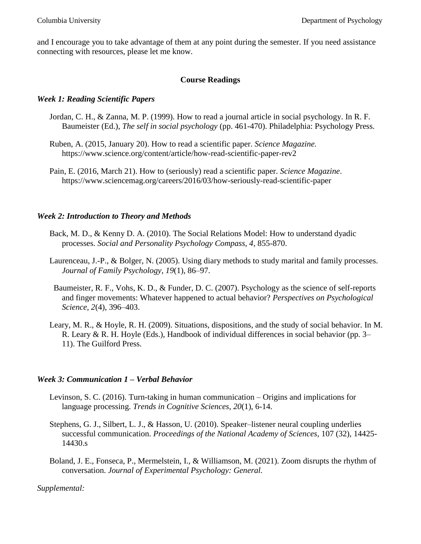and I encourage you to take advantage of them at any point during the semester. If you need assistance connecting with resources, please let me know.

### **Course Readings**

### *Week 1: Reading Scientific Papers*

- Jordan, C. H., & Zanna, M. P. (1999). How to read a journal article in social psychology. In R. F. Baumeister (Ed.), *The self in social psychology* (pp. 461-470). Philadelphia: Psychology Press.
- Ruben, A. (2015, January 20). How to read a scientific paper. *Science Magazine.*  https://www.science.org/content/article/how-read-scientific-paper-rev2
- Pain, E. (2016, March 21). How to (seriously) read a scientific paper. *Science Magazine*. https://www.sciencemag.org/careers/2016/03/how-seriously-read-scientific-paper

### *Week 2: Introduction to Theory and Methods*

- Back, M. D., & Kenny D. A. (2010). The Social Relations Model: How to understand dyadic processes. *Social and Personality Psychology Compass, 4*, 855-870.
- Laurenceau, J.-P., & Bolger, N. (2005). Using diary methods to study marital and family processes. *Journal of Family Psychology, 19*(1), 86–97.
- Baumeister, R. F., Vohs, K. D., & Funder, D. C. (2007). Psychology as the science of self-reports and finger movements: Whatever happened to actual behavior? *Perspectives on Psychological Science, 2*(4), 396–403.
- Leary, M. R., & Hoyle, R. H. (2009). Situations, dispositions, and the study of social behavior. In M. R. Leary & R. H. Hoyle (Eds.), Handbook of individual differences in social behavior (pp. 3– 11). The Guilford Press.

### *Week 3: Communication 1 – Verbal Behavior*

- Levinson, S. C. (2016). Turn-taking in human communication Origins and implications for language processing. *Trends in Cognitive Sciences*, *20*(1), 6-14.
- Stephens, G. J., Silbert, L. J., & Hasson, U. (2010). Speaker–listener neural coupling underlies successful communication. *Proceedings of the National Academy of Sciences,* 107 (32), 14425- 14430.s
- Boland, J. E., Fonseca, P., Mermelstein, I., & Williamson, M. (2021). Zoom disrupts the rhythm of conversation. *Journal of Experimental Psychology: General.*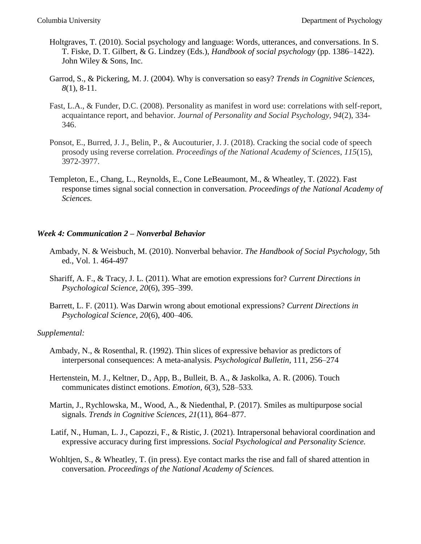- Holtgraves, T. (2010). Social psychology and language: Words, utterances, and conversations. In S. T. Fiske, D. T. Gilbert, & G. Lindzey (Eds.), *Handbook of social psychology* (pp. 1386–1422). John Wiley & Sons, Inc.
- Garrod, S., & Pickering, M. J. (2004). Why is conversation so easy? *Trends in Cognitive Sciences, 8*(1), 8-11.
- Fast, L.A., & Funder, D.C. (2008). Personality as manifest in word use: correlations with self-report, acquaintance report, and behavior. *Journal of Personality and Social Psychology, 94*(2), 334- 346.
- Ponsot, E., Burred, J. J., Belin, P., & Aucouturier, J. J. (2018). Cracking the social code of speech prosody using reverse correlation. *Proceedings of the National Academy of Sciences*, *115*(15), 3972-3977.
- Templeton, E., Chang, L., Reynolds, E., Cone LeBeaumont, M., & Wheatley, T. (2022). Fast response times signal social connection in conversation. *Proceedings of the National Academy of Sciences.*

#### *Week 4: Communication 2 – Nonverbal Behavior*

- Ambady, N. & Weisbuch, M. (2010). Nonverbal behavior. *The Handbook of Social Psychology,* 5th ed., Vol. 1. 464-497
- Shariff, A. F., & Tracy, J. L. (2011). What are emotion expressions for? *Current Directions in Psychological Science, 20*(6), 395–399.
- Barrett, L. F. (2011). Was Darwin wrong about emotional expressions? *Current Directions in Psychological Science, 20*(6), 400–406.

- Ambady, N., & Rosenthal, R. (1992). Thin slices of expressive behavior as predictors of interpersonal consequences: A meta-analysis. *Psychological Bulletin*, 111, 256–274
- Hertenstein, M. J., Keltner, D., App, B., Bulleit, B. A., & Jaskolka, A. R. (2006). Touch communicates distinct emotions. *Emotion, 6*(3), 528–533*.*
- Martin, J., Rychlowska, M., Wood, A., & Niedenthal, P. (2017). Smiles as multipurpose social signals. *Trends in Cognitive Sciences, 21*(11), 864–877.
- Latif, N., Human, L. J., Capozzi, F., & Ristic, J. (2021). Intrapersonal behavioral coordination and expressive accuracy during first impressions. *Social Psychological and Personality Science.*
- Wohltjen, S., & Wheatley, T. (in press). Eye contact marks the rise and fall of shared attention in conversation. *Proceedings of the National Academy of Sciences.*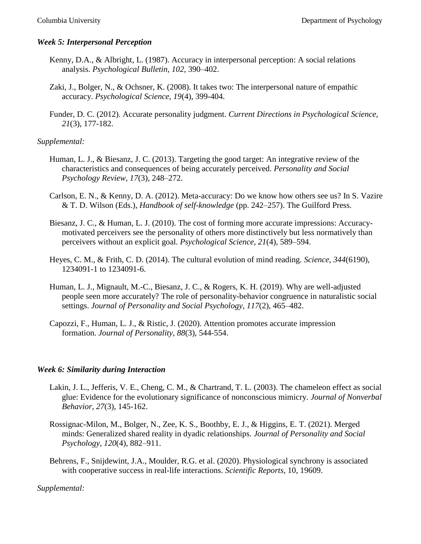## *Week 5: Interpersonal Perception*

- Kenny, D.A., & Albright, L. (1987). Accuracy in interpersonal perception: A social relations analysis. *Psychological Bulletin, 102*, 390–402.
- Zaki, J., Bolger, N., & Ochsner, K. (2008). It takes two: The interpersonal nature of empathic accuracy. *Psychological Science*, *19*(4), 399-404.
- Funder, D. C. (2012). Accurate personality judgment. *Current Directions in Psychological Science*, *21*(3), 177-182.

## *Supplemental:*

- Human, L. J., & Biesanz, J. C. (2013). Targeting the good target: An integrative review of the characteristics and consequences of being accurately perceived. *Personality and Social Psychology Review, 17*(3), 248–272.
- Carlson, E. N., & Kenny, D. A. (2012). Meta-accuracy: Do we know how others see us? In S. Vazire & T. D. Wilson (Eds.), *Handbook of self-knowledge* (pp. 242–257). The Guilford Press.
- Biesanz, J. C., & Human, L. J. (2010). The cost of forming more accurate impressions: Accuracymotivated perceivers see the personality of others more distinctively but less normatively than perceivers without an explicit goal. *Psychological Science, 21*(4), 589–594.
- Heyes, C. M., & Frith, C. D. (2014). The cultural evolution of mind reading. *Science, 344*(6190), 1234091-1 to 1234091-6.
- Human, L. J., Mignault, M.-C., Biesanz, J. C., & Rogers, K. H. (2019). Why are well-adjusted people seen more accurately? The role of personality-behavior congruence in naturalistic social settings. *Journal of Personality and Social Psychology, 117*(2), 465–482.
- Capozzi, F., Human, L. J., & Ristic, J. (2020). Attention promotes accurate impression formation. *Journal of Personality*, *88*(3), 544-554.

### *Week 6: Similarity during Interaction*

- Lakin, J. L., Jefferis, V. E., Cheng, C. M., & Chartrand, T. L. (2003). The chameleon effect as social glue: Evidence for the evolutionary significance of nonconscious mimicry. *Journal of Nonverbal Behavior, 27*(3), 145-162.
- Rossignac-Milon, M., Bolger, N., Zee, K. S., Boothby, E. J., & Higgins, E. T. (2021). Merged minds: Generalized shared reality in dyadic relationships. *Journal of Personality and Social Psychology, 120*(4), 882–911.
- Behrens, F., Snijdewint, J.A., Moulder, R.G. et al. (2020). Physiological synchrony is associated with cooperative success in real-life interactions. *Scientific Reports*, 10, 19609.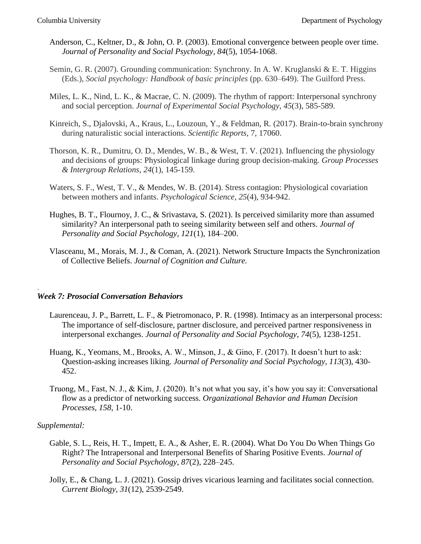- Anderson, C., Keltner, D., & John, O. P. (2003). Emotional convergence between people over time. *Journal of Personality and Social Psychology, 84*(5), 1054-1068.
- Semin, G. R. (2007). Grounding communication: Synchrony. In A. W. Kruglanski & E. T. Higgins (Eds.), *Social psychology: Handbook of basic principles* (pp. 630–649). The Guilford Press.
- Miles, L. K., Nind, L. K., & Macrae, C. N. (2009). The rhythm of rapport: Interpersonal synchrony and social perception. *Journal of Experimental Social Psychology*, *45*(3), 585-589.
- Kinreich, S., Djalovski, A., Kraus, L., Louzoun, Y., & Feldman, R. (2017). Brain-to-brain synchrony during naturalistic social interactions. *Scientific Reports,* 7, 17060.
- Thorson, K. R., Dumitru, O. D., Mendes, W. B., & West, T. V. (2021). Influencing the physiology and decisions of groups: Physiological linkage during group decision-making. *Group Processes & Intergroup Relations*, *24*(1), 145-159.
- Waters, S. F., West, T. V., & Mendes, W. B. (2014). Stress contagion: Physiological covariation between mothers and infants. *Psychological Science*, *25*(4), 934-942.
- Hughes, B. T., Flournoy, J. C., & Srivastava, S. (2021). Is perceived similarity more than assumed similarity? An interpersonal path to seeing similarity between self and others. *Journal of Personality and Social Psychology, 121*(1), 184–200.
- Vlasceanu, M., Morais, M. J., & Coman, A. (2021). Network Structure Impacts the Synchronization of Collective Beliefs. *Journal of Cognition and Culture.*

#### *Week 7: Prosocial Conversation Behaviors*

- Laurenceau, J. P., Barrett, L. F., & Pietromonaco, P. R. (1998). Intimacy as an interpersonal process: The importance of self-disclosure, partner disclosure, and perceived partner responsiveness in interpersonal exchanges. *Journal of Personality and Social Psychology*, *74*(5), 1238-1251.
- Huang, K., Yeomans, M., Brooks, A. W., Minson, J., & Gino, F. (2017). It doesn't hurt to ask: Question-asking increases liking. *Journal of Personality and Social Psychology, 113*(3), 430- 452.
- Truong, M., Fast, N. J., & Kim, J. (2020). It's not what you say, it's how you say it: Conversational flow as a predictor of networking success. *Organizational Behavior and Human Decision Processes, 158*, 1-10.

#### *Supplemental:*

.

- Gable, S. L., Reis, H. T., Impett, E. A., & Asher, E. R. (2004). What Do You Do When Things Go Right? The Intrapersonal and Interpersonal Benefits of Sharing Positive Events. *Journal of Personality and Social Psychology, 87*(2), 228–245.
- Jolly, E., & Chang, L. J. (2021). Gossip drives vicarious learning and facilitates social connection. *Current Biology*, *31*(12), 2539-2549.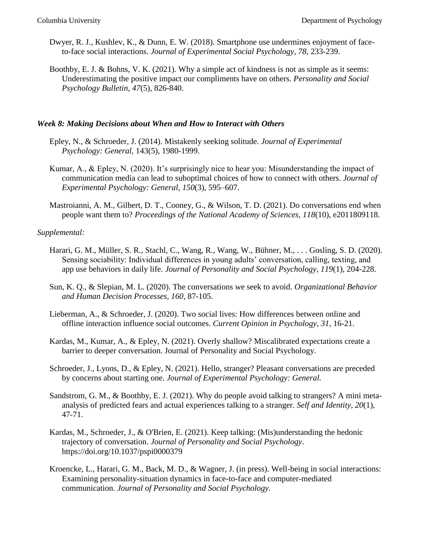- Dwyer, R. J., Kushlev, K., & Dunn, E. W. (2018). Smartphone use undermines enjoyment of faceto-face social interactions. *Journal of Experimental Social Psychology, 78*, 233-239.
- Boothby, E. J. & Bohns, V. K. (2021). Why a simple act of kindness is not as simple as it seems: Underestimating the positive impact our compliments have on others. *Personality and Social Psychology Bulletin, 47*(5), 826-840.

#### *Week 8: Making Decisions about When and How to Interact with Others*

- Epley, N., & Schroeder, J. (2014). Mistakenly seeking solitude. *Journal of Experimental Psychology: General,* 143(5), 1980-1999.
- Kumar, A., & Epley, N. (2020). It's surprisingly nice to hear you: Misunderstanding the impact of communication media can lead to suboptimal choices of how to connect with others. *Journal of Experimental Psychology: General*, *150*(3), 595–607.
- Mastroianni, A. M., Gilbert, D. T., Cooney, G., & Wilson, T. D. (2021). Do conversations end when people want them to? *Proceedings of the National Academy of Sciences, 118*(10), e2011809118.

- Harari, G. M., Müller, S. R., Stachl, C., Wang, R., Wang, W., Bühner, M., . . . Gosling, S. D. (2020). Sensing sociability: Individual differences in young adults' conversation, calling, texting, and app use behaviors in daily life. *Journal of Personality and Social Psychology, 119*(1), 204-228.
- Sun, K. Q., & Slepian, M. L. (2020). The conversations we seek to avoid. *Organizational Behavior and Human Decision Processes, 160*, 87-105.
- Lieberman, A., & Schroeder, J. (2020). Two social lives: How differences between online and offline interaction influence social outcomes. *Current Opinion in Psychology, 31*, 16-21.
- Kardas, M., Kumar, A., & Epley, N. (2021). Overly shallow? Miscalibrated expectations create a barrier to deeper conversation. Journal of Personality and Social Psychology.
- Schroeder, J., Lyons, D., & Epley, N. (2021). Hello, stranger? Pleasant conversations are preceded by concerns about starting one. *Journal of Experimental Psychology: General.*
- Sandstrom, G. M., & Boothby, E. J. (2021). Why do people avoid talking to strangers? A mini metaanalysis of predicted fears and actual experiences talking to a stranger. *Self and Identity, 20*(1), 47-71.
- Kardas, M., Schroeder, J., & O'Brien, E. (2021). Keep talking: (Mis)understanding the hedonic trajectory of conversation. *Journal of Personality and Social Psychology*. https://doi.org/10.1037/pspi0000379
- Kroencke, L., Harari, G. M., Back, M. D., & Wagner, J. (in press). Well-being in social interactions: Examining personality-situation dynamics in face-to-face and computer-mediated communication. *Journal of Personality and Social Psychology.*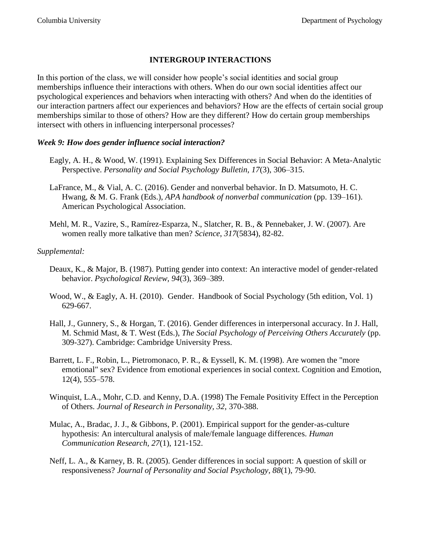## **INTERGROUP INTERACTIONS**

In this portion of the class, we will consider how people's social identities and social group memberships influence their interactions with others. When do our own social identities affect our psychological experiences and behaviors when interacting with others? And when do the identities of our interaction partners affect our experiences and behaviors? How are the effects of certain social group memberships similar to those of others? How are they different? How do certain group memberships intersect with others in influencing interpersonal processes?

## *Week 9: How does gender influence social interaction?*

- Eagly, A. H., & Wood, W. (1991). Explaining Sex Differences in Social Behavior: A Meta-Analytic Perspective. *Personality and Social Psychology Bulletin, 17*(3), 306–315.
- LaFrance, M., & Vial, A. C. (2016). Gender and nonverbal behavior. In D. Matsumoto, H. C. Hwang, & M. G. Frank (Eds.), *APA handbook of nonverbal communication* (pp. 139–161). American Psychological Association.
- Mehl, M. R., Vazire, S., Ramírez-Esparza, N., Slatcher, R. B., & Pennebaker, J. W. (2007). Are women really more talkative than men? *Science*, *317*(5834), 82-82.

- Deaux, K., & Major, B. (1987). Putting gender into context: An interactive model of gender-related behavior. *Psychological Review, 94*(3), 369–389.
- Wood, W., & Eagly, A. H. (2010). Gender. Handbook of Social Psychology (5th edition, Vol. 1) 629-667.
- Hall, J., Gunnery, S., & Horgan, T. (2016). Gender differences in interpersonal accuracy. In J. Hall, M. Schmid Mast, & T. West (Eds.), *The Social Psychology of Perceiving Others Accurately* (pp. 309-327). Cambridge: Cambridge University Press.
- Barrett, L. F., Robin, L., Pietromonaco, P. R., & Eyssell, K. M. (1998). Are women the "more emotional" sex? Evidence from emotional experiences in social context. Cognition and Emotion, 12(4), 555–578.
- Winquist, L.A., Mohr, C.D. and Kenny, D.A. (1998) The Female Positivity Effect in the Perception of Others. *Journal of Research in Personality, 32*, 370-388.
- Mulac, A., Bradac, J. J., & Gibbons, P. (2001). Empirical support for the gender-as-culture hypothesis: An intercultural analysis of male/female language differences. *Human Communication Research, 27*(1), 121-152.
- Neff, L. A., & Karney, B. R. (2005). Gender differences in social support: A question of skill or responsiveness? *Journal of Personality and Social Psychology, 88*(1), 79-90.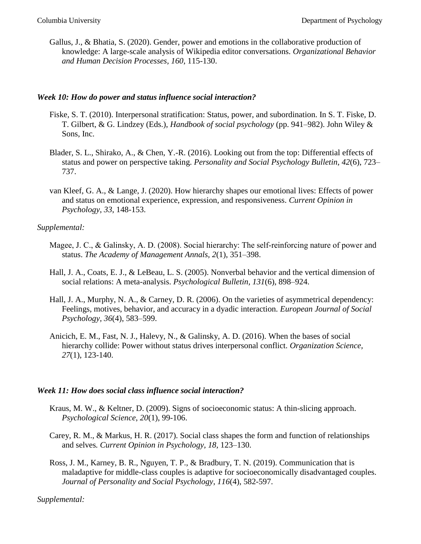Gallus, J., & Bhatia, S. (2020). Gender, power and emotions in the collaborative production of knowledge: A large-scale analysis of Wikipedia editor conversations. *Organizational Behavior and Human Decision Processes, 160*, 115-130.

#### *Week 10: How do power and status influence social interaction?*

- Fiske, S. T. (2010). Interpersonal stratification: Status, power, and subordination. In S. T. Fiske, D. T. Gilbert, & G. Lindzey (Eds.), *Handbook of social psychology* (pp. 941–982). John Wiley & Sons, Inc.
- Blader, S. L., Shirako, A., & Chen, Y.-R. (2016). Looking out from the top: Differential effects of status and power on perspective taking. *Personality and Social Psychology Bulletin*, *42*(6), 723– 737.
- van Kleef, G. A., & Lange, J. (2020). How hierarchy shapes our emotional lives: Effects of power and status on emotional experience, expression, and responsiveness. *Current Opinion in Psychology*, *33*, 148-153.

### *Supplemental:*

- Magee, J. C., & Galinsky, A. D. (2008). Social hierarchy: The self-reinforcing nature of power and status. *The Academy of Management Annals, 2*(1), 351–398.
- Hall, J. A., Coats, E. J., & LeBeau, L. S. (2005). Nonverbal behavior and the vertical dimension of social relations: A meta-analysis. *Psychological Bulletin, 131*(6), 898–924.
- Hall, J. A., Murphy, N. A., & Carney, D. R. (2006). On the varieties of asymmetrical dependency: Feelings, motives, behavior, and accuracy in a dyadic interaction. *European Journal of Social Psychology, 36*(4), 583–599.
- Anicich, E. M., Fast, N. J., Halevy, N., & Galinsky, A. D. (2016). When the bases of social hierarchy collide: Power without status drives interpersonal conflict. *Organization Science, 27*(1), 123-140.

#### *Week 11: How does social class influence social interaction?*

- Kraus, M. W., & Keltner, D. (2009). Signs of socioeconomic status: A thin-slicing approach. *Psychological Science*, *20*(1), 99-106.
- Carey, R. M., & Markus, H. R. (2017). Social class shapes the form and function of relationships and selves*. Current Opinion in Psychology, 18,* 123–130.
- Ross, J. M., Karney, B. R., Nguyen, T. P., & Bradbury, T. N. (2019). Communication that is maladaptive for middle-class couples is adaptive for socioeconomically disadvantaged couples. *Journal of Personality and Social Psychology*, *116*(4), 582-597.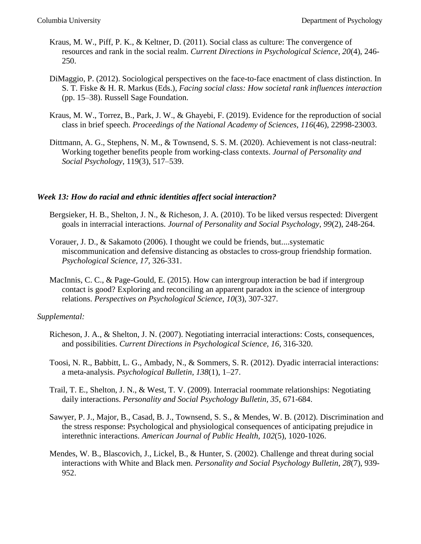- Kraus, M. W., Piff, P. K., & Keltner, D. (2011). Social class as culture: The convergence of resources and rank in the social realm. *Current Directions in Psychological Science*, *20*(4), 246- 250.
- DiMaggio, P. (2012). Sociological perspectives on the face-to-face enactment of class distinction. In S. T. Fiske & H. R. Markus (Eds.), *Facing social class: How societal rank influences interaction*  (pp. 15–38). Russell Sage Foundation.
- Kraus, M. W., Torrez, B., Park, J. W., & Ghayebi, F. (2019). Evidence for the reproduction of social class in brief speech. *Proceedings of the National Academy of Sciences, 116*(46), 22998-23003.
- Dittmann, A. G., Stephens, N. M., & Townsend, S. S. M. (2020). Achievement is not class-neutral: Working together benefits people from working-class contexts. *Journal of Personality and Social Psychology*, 119(3), 517–539.

#### *Week 13: How do racial and ethnic identities affect social interaction?*

- Bergsieker, H. B., Shelton, J. N., & Richeson, J. A. (2010). To be liked versus respected: Divergent goals in interracial interactions. *Journal of Personality and Social Psychology*, *99*(2), 248-264.
- Vorauer, J. D., & Sakamoto (2006). I thought we could be friends, but....systematic miscommunication and defensive distancing as obstacles to cross-group friendship formation. *Psychological Science, 17,* 326-331.
- MacInnis, C. C., & Page-Gould, E. (2015). How can intergroup interaction be bad if intergroup contact is good? Exploring and reconciling an apparent paradox in the science of intergroup relations. *Perspectives on Psychological Science, 10*(3), 307-327.

- Richeson, J. A., & Shelton, J. N. (2007). Negotiating interracial interactions: Costs, consequences, and possibilities. *Current Directions in Psychological Science, 16*, 316-320.
- Toosi, N. R., Babbitt, L. G., Ambady, N., & Sommers, S. R. (2012). Dyadic interracial interactions: a meta-analysis. *Psychological Bulletin, 138*(1), 1–27.
- Trail, T. E., Shelton, J. N., & West, T. V. (2009). Interracial roommate relationships: Negotiating daily interactions. *Personality and Social Psychology Bulletin, 35*, 671-684.
- Sawyer, P. J., Major, B., Casad, B. J., Townsend, S. S., & Mendes, W. B. (2012). Discrimination and the stress response: Psychological and physiological consequences of anticipating prejudice in interethnic interactions. *American Journal of Public Health*, *102*(5), 1020-1026.
- Mendes, W. B., Blascovich, J., Lickel, B., & Hunter, S. (2002). Challenge and threat during social interactions with White and Black men. *Personality and Social Psychology Bulletin*, *28*(7), 939- 952.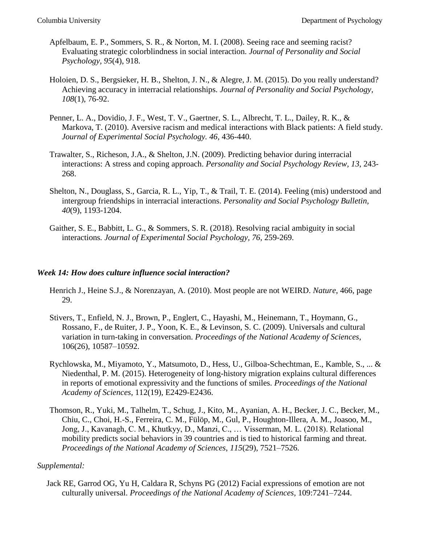- Apfelbaum, E. P., Sommers, S. R., & Norton, M. I. (2008). Seeing race and seeming racist? Evaluating strategic colorblindness in social interaction. *Journal of Personality and Social Psychology, 95*(4), 918.
- Holoien, D. S., Bergsieker, H. B., Shelton, J. N., & Alegre, J. M. (2015). Do you really understand? Achieving accuracy in interracial relationships. *Journal of Personality and Social Psychology, 108*(1), 76-92.
- Penner, L. A., Dovidio, J. F., West, T. V., Gaertner, S. L., Albrecht, T. L., Dailey, R. K., & Markova, T. (2010). Aversive racism and medical interactions with Black patients: A field study. *Journal of Experimental Social Psychology. 46,* 436-440.
- Trawalter, S., Richeson, J.A., & Shelton, J.N. (2009). Predicting behavior during interracial interactions: A stress and coping approach. *Personality and Social Psychology Review, 13*, 243- 268.
- Shelton, N., Douglass, S., Garcia, R. L., Yip, T., & Trail, T. E. (2014). Feeling (mis) understood and intergroup friendships in interracial interactions. *Personality and Social Psychology Bulletin, 40*(9), 1193-1204.
- Gaither, S. E., Babbitt, L. G., & Sommers, S. R. (2018). Resolving racial ambiguity in social interactions*. Journal of Experimental Social Psychology, 76*, 259-269.

### *Week 14: How does culture influence social interaction?*

- Henrich J., Heine S.J., & Norenzayan, A. (2010). Most people are not WEIRD. *Nature*, 466, page 29.
- Stivers, T., Enfield, N. J., Brown, P., Englert, C., Hayashi, M., Heinemann, T., Hoymann, G., Rossano, F., de Ruiter, J. P., Yoon, K. E., & Levinson, S. C. (2009). Universals and cultural variation in turn-taking in conversation. *Proceedings of the National Academy of Sciences*, 106(26), 10587–10592.
- Rychlowska, M., Miyamoto, Y., Matsumoto, D., Hess, U., Gilboa-Schechtman, E., Kamble, S., ... & Niedenthal, P. M. (2015). Heterogeneity of long-history migration explains cultural differences in reports of emotional expressivity and the functions of smiles. *Proceedings of the National Academy of Sciences*, 112(19), E2429-E2436.
- Thomson, R., Yuki, M., Talhelm, T., Schug, J., Kito, M., Ayanian, A. H., Becker, J. C., Becker, M., Chiu, C., Choi, H.-S., Ferreira, C. M., Fülöp, M., Gul, P., Houghton-Illera, A. M., Joasoo, M., Jong, J., Kavanagh, C. M., Khutkyy, D., Manzi, C., … Visserman, M. L. (2018). Relational mobility predicts social behaviors in 39 countries and is tied to historical farming and threat. *Proceedings of the National Academy of Sciences*, *115*(29), 7521–7526.

### *Supplemental:*

Jack RE, Garrod OG, Yu H, Caldara R, Schyns PG (2012) Facial expressions of emotion are not culturally universal. *Proceedings of the National Academy of Sciences,* 109:7241–7244.